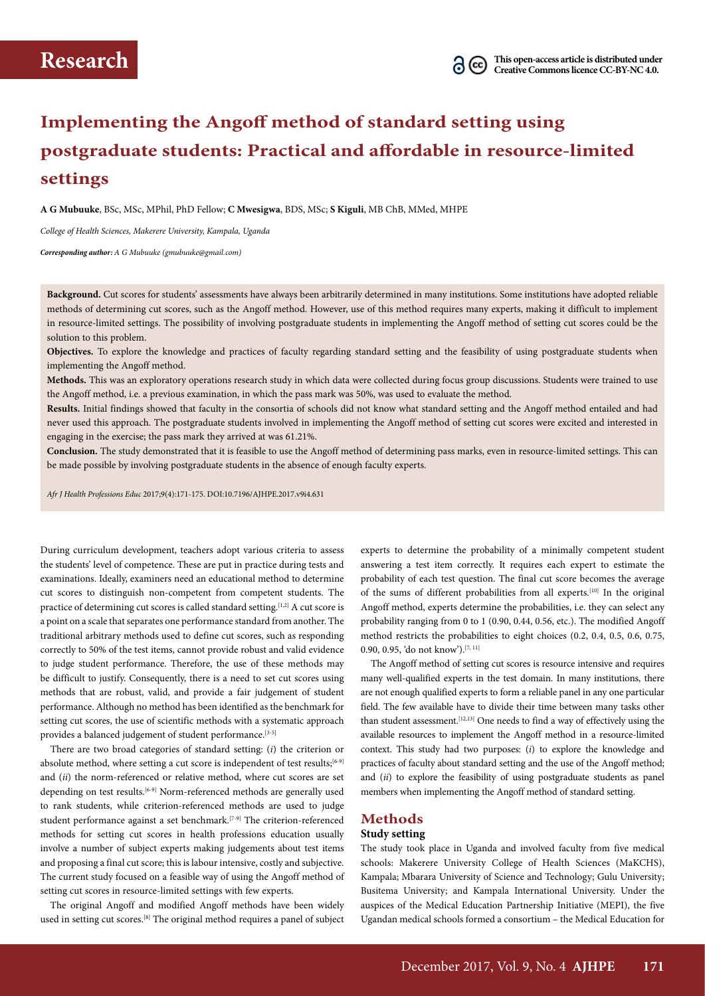# **Implementing the Angoff method of standard setting using postgraduate students: Practical and affordable in resource-limited settings**

**A G Mubuuke**, BSc, MSc, MPhil, PhD Fellow; **C Mwesigwa**, BDS, MSc; **S Kiguli**, MB ChB, MMed, MHPE

*College of Health Sciences, Makerere University, Kampala, Uganda* 

*Corresponding author: A G Mubuuke (gmubuuke@gmail.com)*

**Background.** Cut scores for students' assessments have always been arbitrarily determined in many institutions. Some institutions have adopted reliable methods of determining cut scores, such as the Angoff method. However, use of this method requires many experts, making it difficult to implement in resource-limited settings. The possibility of involving postgraduate students in implementing the Angoff method of setting cut scores could be the solution to this problem.

**Objectives.** To explore the knowledge and practices of faculty regarding standard setting and the feasibility of using postgraduate students when implementing the Angoff method.

**Methods.** This was an exploratory operations research study in which data were collected during focus group discussions. Students were trained to use the Angoff method, i.e. a previous examination, in which the pass mark was 50%, was used to evaluate the method.

**Results.** Initial findings showed that faculty in the consortia of schools did not know what standard setting and the Angoff method entailed and had never used this approach. The postgraduate students involved in implementing the Angoff method of setting cut scores were excited and interested in engaging in the exercise; the pass mark they arrived at was 61.21%.

**Conclusion.** The study demonstrated that it is feasible to use the Angoff method of determining pass marks, even in resource-limited settings. This can be made possible by involving postgraduate students in the absence of enough faculty experts.

*Afr J Health Professions Educ* 2017;9(4):171-175. DOI:10.7196/AJHPE.2017.v9i4.631

During curriculum development, teachers adopt various criteria to assess the students' level of competence. These are put in practice during tests and examinations. Ideally, examiners need an educational method to determine cut scores to distinguish non-competent from competent students. The practice of determining cut scores is called standard setting.[1,2] A cut score is a point on a scale that separates one performance standard from another. The traditional arbitrary methods used to define cut scores, such as responding correctly to 50% of the test items, cannot provide robust and valid evidence to judge student performance. Therefore, the use of these methods may be difficult to justify. Consequently, there is a need to set cut scores using methods that are robust, valid, and provide a fair judgement of student performance. Although no method has been identified as the benchmark for setting cut scores, the use of scientific methods with a systematic approach provides a balanced judgement of student performance.<sup>[3-5]</sup>

There are two broad categories of standard setting: (*i*) the criterion or absolute method, where setting a cut score is independent of test results;  $[6-9]$ and (*ii*) the norm-referenced or relative method, where cut scores are set depending on test results.[6-9] Norm-referenced methods are generally used to rank students, while criterion-referenced methods are used to judge student performance against a set benchmark.<sup>[7-9]</sup> The criterion-referenced methods for setting cut scores in health professions education usually involve a number of subject experts making judgements about test items and proposing a final cut score; this is labour intensive, costly and subjective. The current study focused on a feasible way of using the Angoff method of setting cut scores in resource-limited settings with few experts.

The original Angoff and modified Angoff methods have been widely used in setting cut scores.[8] The original method requires a panel of subject

experts to determine the probability of a minimally competent student answering a test item correctly. It requires each expert to estimate the probability of each test question. The final cut score becomes the average of the sums of different probabilities from all experts.[10] In the original Angoff method, experts determine the probabilities, i.e. they can select any probability ranging from 0 to 1 (0.90, 0.44, 0.56, etc.). The modified Angoff method restricts the probabilities to eight choices (0.2, 0.4, 0.5, 0.6, 0.75, 0.90, 0.95, 'do not know').[7, 11]

The Angoff method of setting cut scores is resource intensive and requires many well-qualified experts in the test domain. In many institutions, there are not enough qualified experts to form a reliable panel in any one particular field. The few available have to divide their time between many tasks other than student assessment.<sup>[12,13]</sup> One needs to find a way of effectively using the available resources to implement the Angoff method in a resource-limited context. This study had two purposes: (*i*) to explore the knowledge and practices of faculty about standard setting and the use of the Angoff method; and (*ii*) to explore the feasibility of using postgraduate students as panel members when implementing the Angoff method of standard setting.

## **Methods**

## **Study setting**

The study took place in Uganda and involved faculty from five medical schools: Makerere University College of Health Sciences (MaKCHS), Kampala; Mbarara University of Science and Technology; Gulu University; Busitema University; and Kampala International University. Under the auspices of the Medical Education Partnership Initiative (MEPI), the five Ugandan medical schools formed a consortium – the Medical Education for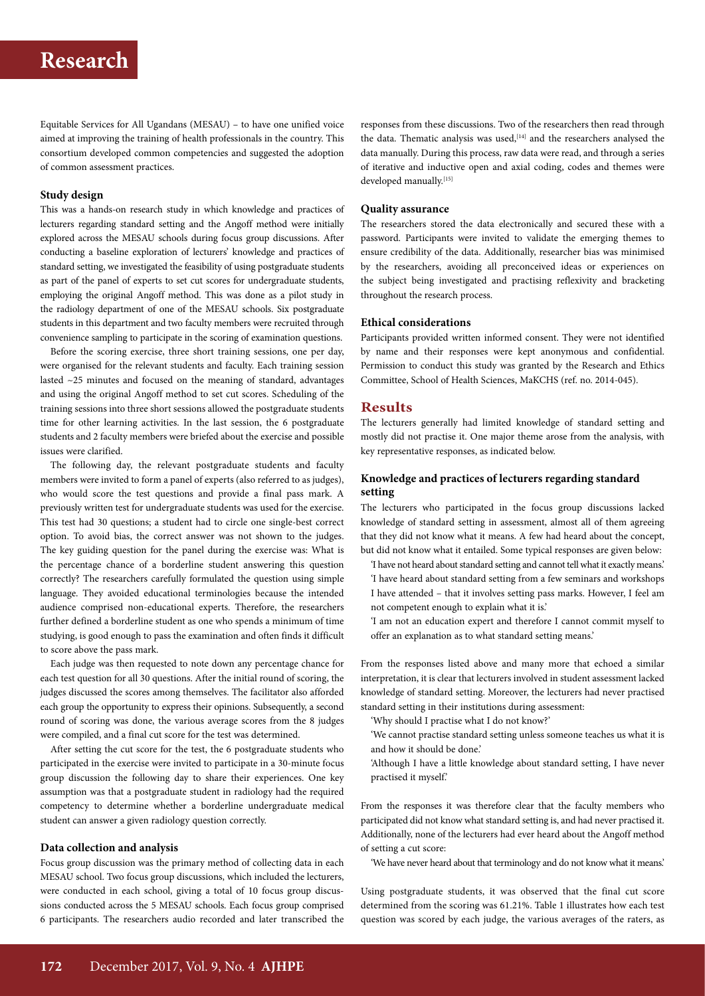Equitable Services for All Ugandans (MESAU) – to have one unified voice aimed at improving the training of health professionals in the country. This consortium developed common competencies and suggested the adoption of common assessment practices.

### **Study design**

This was a hands-on research study in which knowledge and practices of lecturers regarding standard setting and the Angoff method were initially explored across the MESAU schools during focus group discussions. After conducting a baseline exploration of lecturers' knowledge and practices of standard setting, we investigated the feasibility of using postgraduate students as part of the panel of experts to set cut scores for undergraduate students, employing the original Angoff method. This was done as a pilot study in the radiology department of one of the MESAU schools. Six postgraduate students in this department and two faculty members were recruited through convenience sampling to participate in the scoring of examination questions.

Before the scoring exercise, three short training sessions, one per day, were organised for the relevant students and faculty. Each training session lasted ~25 minutes and focused on the meaning of standard, advantages and using the original Angoff method to set cut scores. Scheduling of the training sessions into three short sessions allowed the postgraduate students time for other learning activities. In the last session, the 6 postgraduate students and 2 faculty members were briefed about the exercise and possible issues were clarified.

The following day, the relevant postgraduate students and faculty members were invited to form a panel of experts (also referred to as judges), who would score the test questions and provide a final pass mark. A previously written test for undergraduate students was used for the exercise. This test had 30 questions; a student had to circle one single-best correct option. To avoid bias, the correct answer was not shown to the judges. The key guiding question for the panel during the exercise was: What is the percentage chance of a borderline student answering this question correctly? The researchers carefully formulated the question using simple language. They avoided educational terminologies because the intended audience comprised non-educational experts. Therefore, the researchers further defined a borderline student as one who spends a minimum of time studying, is good enough to pass the examination and often finds it difficult to score above the pass mark.

Each judge was then requested to note down any percentage chance for each test question for all 30 questions. After the initial round of scoring, the judges discussed the scores among themselves. The facilitator also afforded each group the opportunity to express their opinions. Subsequently, a second round of scoring was done, the various average scores from the 8 judges were compiled, and a final cut score for the test was determined.

After setting the cut score for the test, the 6 postgraduate students who participated in the exercise were invited to participate in a 30-minute focus group discussion the following day to share their experiences. One key assumption was that a postgraduate student in radiology had the required competency to determine whether a borderline undergraduate medical student can answer a given radiology question correctly.

### **Data collection and analysis**

Focus group discussion was the primary method of collecting data in each MESAU school. Two focus group discussions, which included the lecturers, were conducted in each school, giving a total of 10 focus group discussions conducted across the 5 MESAU schools. Each focus group comprised 6 participants. The researchers audio recorded and later transcribed the responses from these discussions. Two of the researchers then read through the data. Thematic analysis was used,<sup>[14]</sup> and the researchers analysed the data manually. During this process, raw data were read, and through a series of iterative and inductive open and axial coding, codes and themes were developed manually.[15]

### **Quality assurance**

The researchers stored the data electronically and secured these with a password. Participants were invited to validate the emerging themes to ensure credibility of the data. Additionally, researcher bias was minimised by the researchers, avoiding all preconceived ideas or experiences on the subject being investigated and practising reflexivity and bracketing throughout the research process.

### **Ethical considerations**

Participants provided written informed consent. They were not identified by name and their responses were kept anonymous and confidential. Permission to conduct this study was granted by the Research and Ethics Committee, School of Health Sciences, MaKCHS (ref. no. 2014-045).

## **Results**

The lecturers generally had limited knowledge of standard setting and mostly did not practise it. One major theme arose from the analysis, with key representative responses, as indicated below.

## **Knowledge and practices of lecturers regarding standard setting**

The lecturers who participated in the focus group discussions lacked knowledge of standard setting in assessment, almost all of them agreeing that they did not know what it means. A few had heard about the concept, but did not know what it entailed. Some typical responses are given below:

- 'I have not heard about standard setting and cannot tell what it exactly means.' 'I have heard about standard setting from a few seminars and workshops I have attended – that it involves setting pass marks. However, I feel am not competent enough to explain what it is.'
- 'I am not an education expert and therefore I cannot commit myself to offer an explanation as to what standard setting means.'

From the responses listed above and many more that echoed a similar interpretation, it is clear that lecturers involved in student assessment lacked knowledge of standard setting. Moreover, the lecturers had never practised standard setting in their institutions during assessment:

- 'Why should I practise what I do not know?'
- 'We cannot practise standard setting unless someone teaches us what it is and how it should be done.'
- 'Although I have a little knowledge about standard setting, I have never practised it myself.'

From the responses it was therefore clear that the faculty members who participated did not know what standard setting is, and had never practised it. Additionally, none of the lecturers had ever heard about the Angoff method of setting a cut score:

'We have never heard about that terminology and do not know what it means.'

Using postgraduate students, it was observed that the final cut score determined from the scoring was 61.21%. Table 1 illustrates how each test question was scored by each judge, the various averages of the raters, as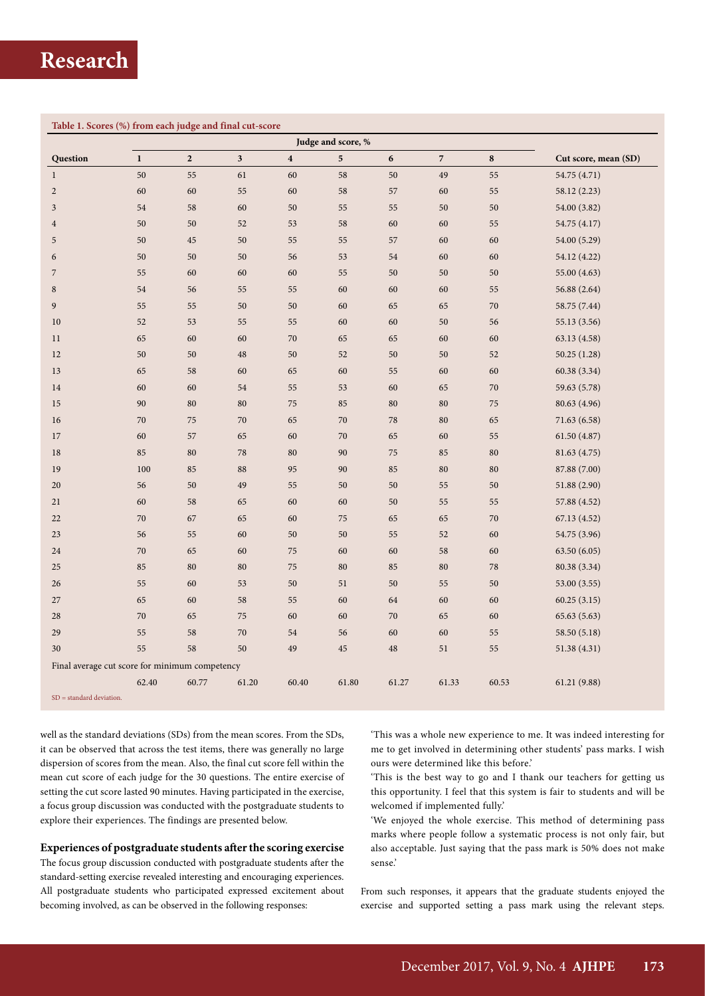# **Research**

## **Table 1. Scores (%) from each judge and final cut-score**

| Judge and score, %                             |              |                |                         |                         |            |        |                |        |                      |  |  |
|------------------------------------------------|--------------|----------------|-------------------------|-------------------------|------------|--------|----------------|--------|----------------------|--|--|
| Question                                       | $\mathbf{1}$ | $\overline{2}$ | $\overline{\mathbf{3}}$ | $\overline{\mathbf{4}}$ | 5          | 6      | $\overline{7}$ | 8      | Cut score, mean (SD) |  |  |
| $\mathbf{1}$                                   | 50           | 55             | 61                      | 60                      | 58         | 50     | 49             | 55     | 54.75 (4.71)         |  |  |
| 2                                              | 60           | 60             | 55                      | $60\,$                  | ${\bf 58}$ | 57     | 60             | 55     | 58.12 (2.23)         |  |  |
| $\mathfrak{Z}$                                 | 54           | 58             | 60                      | $50\,$                  | 55         | 55     | 50             | 50     | 54.00 (3.82)         |  |  |
| $\overline{4}$                                 | 50           | 50             | 52                      | 53                      | 58         | 60     | 60             | 55     | 54.75 (4.17)         |  |  |
| 5                                              | 50           | 45             | 50                      | 55                      | 55         | 57     | 60             | 60     | 54.00 (5.29)         |  |  |
| 6                                              | 50           | 50             | 50                      | 56                      | 53         | 54     | 60             | 60     | 54.12 (4.22)         |  |  |
| 7                                              | 55           | 60             | 60                      | 60                      | 55         | 50     | 50             | 50     | 55.00 (4.63)         |  |  |
| $\,8\,$                                        | 54           | 56             | 55                      | 55                      | 60         | 60     | 60             | 55     | 56.88 (2.64)         |  |  |
| 9                                              | 55           | 55             | $50\,$                  | $50\,$                  | 60         | 65     | 65             | $70\,$ | 58.75 (7.44)         |  |  |
| 10                                             | 52           | 53             | 55                      | 55                      | 60         | 60     | 50             | 56     | 55.13 (3.56)         |  |  |
| 11                                             | 65           | 60             | 60                      | 70                      | 65         | 65     | 60             | 60     | 63.13 (4.58)         |  |  |
| 12                                             | 50           | 50             | 48                      | 50                      | 52         | 50     | 50             | 52     | 50.25(1.28)          |  |  |
| 13                                             | 65           | 58             | 60                      | 65                      | 60         | 55     | 60             | 60     | 60.38 (3.34)         |  |  |
| 14                                             | 60           | 60             | 54                      | 55                      | 53         | 60     | 65             | 70     | 59.63 (5.78)         |  |  |
| 15                                             | 90           | 80             | 80                      | 75                      | 85         | 80     | 80             | 75     | 80.63 (4.96)         |  |  |
| 16                                             | $70\,$       | 75             | $70\,$                  | 65                      | 70         | $78\,$ | 80             | 65     | 71.63 (6.58)         |  |  |
| 17                                             | 60           | 57             | 65                      | 60                      | $70\,$     | 65     | 60             | 55     | 61.50(4.87)          |  |  |
| 18                                             | 85           | 80             | $78\,$                  | $80\,$                  | $90\,$     | 75     | 85             | $80\,$ | 81.63 (4.75)         |  |  |
| 19                                             | 100          | 85             | 88                      | 95                      | 90         | 85     | 80             | 80     | 87.88 (7.00)         |  |  |
| 20                                             | 56           | 50             | 49                      | 55                      | 50         | 50     | 55             | 50     | 51.88 (2.90)         |  |  |
| 21                                             | 60           | 58             | 65                      | 60                      | 60         | 50     | 55             | 55     | 57.88 (4.52)         |  |  |
| $22\,$                                         | $70\,$       | 67             | 65                      | 60                      | $75\,$     | 65     | 65             | 70     | 67.13 (4.52)         |  |  |
| 23                                             | 56           | 55             | 60                      | 50                      | 50         | 55     | 52             | 60     | 54.75 (3.96)         |  |  |
| 24                                             | 70           | 65             | 60                      | 75                      | 60         | 60     | 58             | 60     | 63.50(6.05)          |  |  |
| 25                                             | $85\,$       | $80\,$         | $80\,$                  | $75\,$                  | 80         | 85     | 80             | 78     | 80.38 (3.34)         |  |  |
| 26                                             | 55           | 60             | 53                      | 50                      | 51         | 50     | 55             | 50     | 53.00 (3.55)         |  |  |
| 27                                             | 65           | 60             | 58                      | 55                      | 60         | 64     | 60             | 60     | 60.25(3.15)          |  |  |
| 28                                             | 70           | 65             | 75                      | 60                      | 60         | $70\,$ | 65             | 60     | 65.63(5.63)          |  |  |
| 29                                             | 55           | 58             | $70\,$                  | 54                      | 56         | 60     | 60             | 55     | 58.50 (5.18)         |  |  |
| 30                                             | 55           | 58             | 50                      | 49                      | 45         | 48     | 51             | 55     | 51.38 (4.31)         |  |  |
| Final average cut score for minimum competency |              |                |                         |                         |            |        |                |        |                      |  |  |
|                                                | 62.40        | 60.77          | 61.20                   | 60.40                   | 61.80      | 61.27  | 61.33          | 60.53  | 61.21 (9.88)         |  |  |
| $SD = standard deviation$ .                    |              |                |                         |                         |            |        |                |        |                      |  |  |

well as the standard deviations (SDs) from the mean scores. From the SDs, it can be observed that across the test items, there was generally no large dispersion of scores from the mean. Also, the final cut score fell within the mean cut score of each judge for the 30 questions. The entire exercise of setting the cut score lasted 90 minutes. Having participated in the exercise, a focus group discussion was conducted with the postgraduate students to explore their experiences. The findings are presented below.

## **Experiences of postgraduate students after the scoring exercise**

The focus group discussion conducted with postgraduate students after the standard-setting exercise revealed interesting and encouraging experiences. All postgraduate students who participated expressed excitement about becoming involved, as can be observed in the following responses:

'This was a whole new experience to me. It was indeed interesting for me to get involved in determining other students' pass marks. I wish ours were determined like this before.'

'This is the best way to go and I thank our teachers for getting us this opportunity. I feel that this system is fair to students and will be welcomed if implemented fully.'

'We enjoyed the whole exercise. This method of determining pass marks where people follow a systematic process is not only fair, but also acceptable. Just saying that the pass mark is 50% does not make sense.'

From such responses, it appears that the graduate students enjoyed the exercise and supported setting a pass mark using the relevant steps.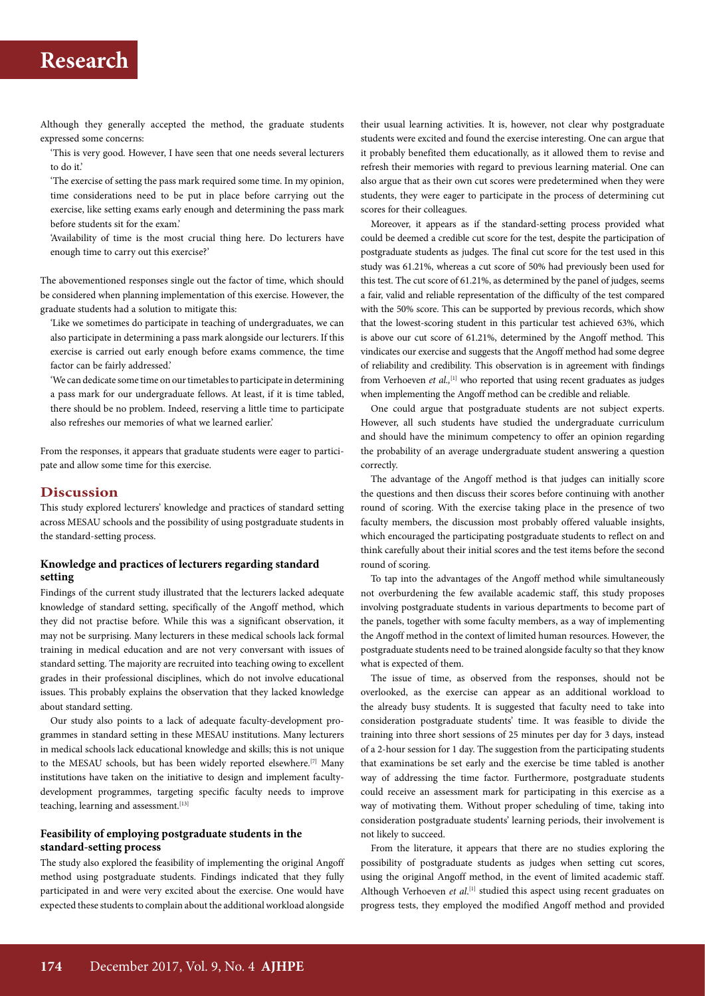# **Research**

Although they generally accepted the method, the graduate students expressed some concerns:

'This is very good. However, I have seen that one needs several lecturers to do it.'

'The exercise of setting the pass mark required some time. In my opinion, time considerations need to be put in place before carrying out the exercise, like setting exams early enough and determining the pass mark before students sit for the exam.'

'Availability of time is the most crucial thing here. Do lecturers have enough time to carry out this exercise?'

The abovementioned responses single out the factor of time, which should be considered when planning implementation of this exercise. However, the graduate students had a solution to mitigate this:

'Like we sometimes do participate in teaching of undergraduates, we can also participate in determining a pass mark alongside our lecturers. If this exercise is carried out early enough before exams commence, the time factor can be fairly addressed.'

'We can dedicate some time on our timetables to participate in determining a pass mark for our undergraduate fellows. At least, if it is time tabled, there should be no problem. Indeed, reserving a little time to participate also refreshes our memories of what we learned earlier.'

From the responses, it appears that graduate students were eager to participate and allow some time for this exercise.

## **Discussion**

This study explored lecturers' knowledge and practices of standard setting across MESAU schools and the possibility of using postgraduate students in the standard-setting process.

## **Knowledge and practices of lecturers regarding standard setting**

Findings of the current study illustrated that the lecturers lacked adequate knowledge of standard setting, specifically of the Angoff method, which they did not practise before. While this was a significant observation, it may not be surprising. Many lecturers in these medical schools lack formal training in medical education and are not very conversant with issues of standard setting. The majority are recruited into teaching owing to excellent grades in their professional disciplines, which do not involve educational issues. This probably explains the observation that they lacked knowledge about standard setting.

Our study also points to a lack of adequate faculty-development programmes in standard setting in these MESAU institutions. Many lecturers in medical schools lack educational knowledge and skills; this is not unique to the MESAU schools, but has been widely reported elsewhere.[7] Many institutions have taken on the initiative to design and implement facultydevelopment programmes, targeting specific faculty needs to improve teaching, learning and assessment.<sup>[13]</sup>

## **Feasibility of employing postgraduate students in the standard-setting process**

The study also explored the feasibility of implementing the original Angoff method using postgraduate students. Findings indicated that they fully participated in and were very excited about the exercise. One would have expected these students to complain about the additional workload alongside their usual learning activities. It is, however, not clear why postgraduate students were excited and found the exercise interesting. One can argue that it probably benefited them educationally, as it allowed them to revise and refresh their memories with regard to previous learning material. One can also argue that as their own cut scores were predetermined when they were students, they were eager to participate in the process of determining cut scores for their colleagues.

Moreover, it appears as if the standard-setting process provided what could be deemed a credible cut score for the test, despite the participation of postgraduate students as judges. The final cut score for the test used in this study was 61.21%, whereas a cut score of 50% had previously been used for this test. The cut score of 61.21%, as determined by the panel of judges, seems a fair, valid and reliable representation of the difficulty of the test compared with the 50% score. This can be supported by previous records, which show that the lowest-scoring student in this particular test achieved 63%, which is above our cut score of 61.21%, determined by the Angoff method. This vindicates our exercise and suggests that the Angoff method had some degree of reliability and credibility. This observation is in agreement with findings from Verhoeven et al.,<sup>[1]</sup> who reported that using recent graduates as judges when implementing the Angoff method can be credible and reliable.

One could argue that postgraduate students are not subject experts. However, all such students have studied the undergraduate curriculum and should have the minimum competency to offer an opinion regarding the probability of an average undergraduate student answering a question correctly.

The advantage of the Angoff method is that judges can initially score the questions and then discuss their scores before continuing with another round of scoring. With the exercise taking place in the presence of two faculty members, the discussion most probably offered valuable insights, which encouraged the participating postgraduate students to reflect on and think carefully about their initial scores and the test items before the second round of scoring.

To tap into the advantages of the Angoff method while simultaneously not overburdening the few available academic staff, this study proposes involving postgraduate students in various departments to become part of the panels, together with some faculty members, as a way of implementing the Angoff method in the context of limited human resources. However, the postgraduate students need to be trained alongside faculty so that they know what is expected of them.

The issue of time, as observed from the responses, should not be overlooked, as the exercise can appear as an additional workload to the already busy students. It is suggested that faculty need to take into consideration postgraduate students' time. It was feasible to divide the training into three short sessions of 25 minutes per day for 3 days, instead of a 2-hour session for 1 day. The suggestion from the participating students that examinations be set early and the exercise be time tabled is another way of addressing the time factor. Furthermore, postgraduate students could receive an assessment mark for participating in this exercise as a way of motivating them. Without proper scheduling of time, taking into consideration postgraduate students' learning periods, their involvement is not likely to succeed.

From the literature, it appears that there are no studies exploring the possibility of postgraduate students as judges when setting cut scores, using the original Angoff method, in the event of limited academic staff. Although Verhoeven et al.<sup>[1]</sup> studied this aspect using recent graduates on progress tests, they employed the modified Angoff method and provided